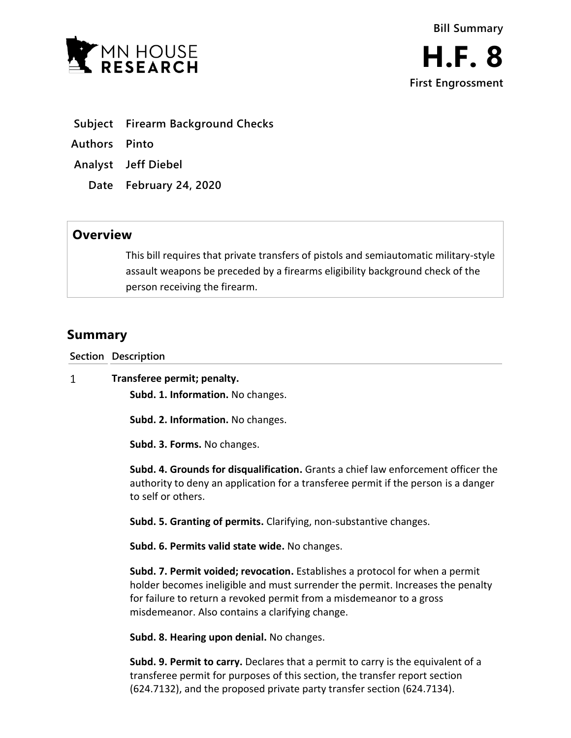

- **Subject Firearm Background Checks**
- **Authors Pinto**
- **Analyst Jeff Diebel**
	- **Date February 24, 2020**

## **Overview**

This bill requires that private transfers of pistols and semiautomatic military-style assault weapons be preceded by a firearms eligibility background check of the person receiving the firearm.

# **Summary**

**Section Description**

 $\mathbf{1}$ **Transferee permit; penalty.**

**Subd. 1. Information.** No changes.

**Subd. 2. Information.** No changes.

**Subd. 3. Forms.** No changes.

**Subd. 4. Grounds for disqualification.** Grants a chief law enforcement officer the authority to deny an application for a transferee permit if the person is a danger to self or others.

**Subd. 5. Granting of permits.** Clarifying, non-substantive changes.

**Subd. 6. Permits valid state wide.** No changes.

**Subd. 7. Permit voided; revocation.** Establishes a protocol for when a permit holder becomes ineligible and must surrender the permit. Increases the penalty for failure to return a revoked permit from a misdemeanor to a gross misdemeanor. Also contains a clarifying change.

**Subd. 8. Hearing upon denial.** No changes.

**Subd. 9. Permit to carry.** Declares that a permit to carry is the equivalent of a transferee permit for purposes of this section, the transfer report section (624.7132), and the proposed private party transfer section (624.7134).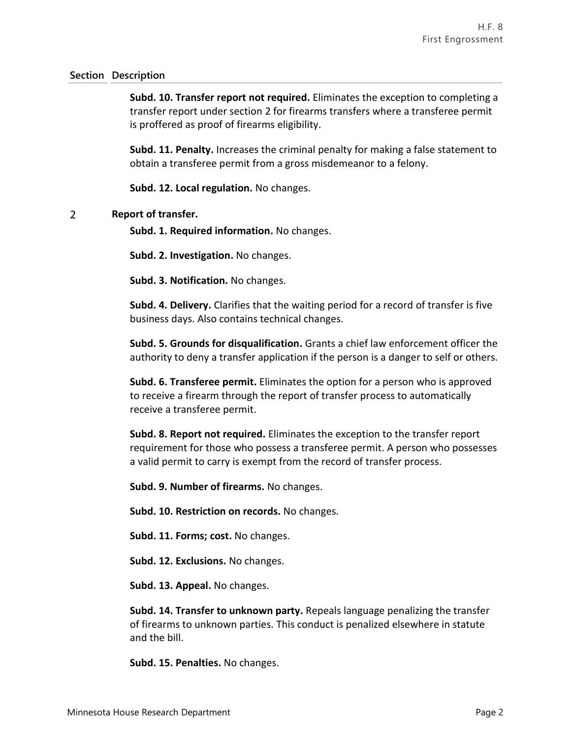### **Section Description**

**Subd. 10. Transfer report not required.** Eliminates the exception to completing a transfer report under section 2 for firearms transfers where a transferee permit is proffered as proof of firearms eligibility.

**Subd. 11. Penalty.** Increases the criminal penalty for making a false statement to obtain a transferee permit from a gross misdemeanor to a felony.

**Subd. 12. Local regulation.** No changes.

#### $\overline{2}$ **Report of transfer.**

**Subd. 1. Required information.** No changes.

**Subd. 2. Investigation.** No changes.

**Subd. 3. Notification.** No changes.

**Subd. 4. Delivery.** Clarifies that the waiting period for a record of transfer is five business days. Also contains technical changes.

**Subd. 5. Grounds for disqualification.** Grants a chief law enforcement officer the authority to deny a transfer application if the person is a danger to self or others.

**Subd. 6. Transferee permit.** Eliminates the option for a person who is approved to receive a firearm through the report of transfer process to automatically receive a transferee permit.

**Subd. 8. Report not required.** Eliminates the exception to the transfer report requirement for those who possess a transferee permit. A person who possesses a valid permit to carry is exempt from the record of transfer process.

**Subd. 9. Number of firearms.** No changes.

**Subd. 10. Restriction on records.** No changes.

**Subd. 11. Forms; cost.** No changes.

**Subd. 12. Exclusions.** No changes.

**Subd. 13. Appeal.** No changes.

**Subd. 14. Transfer to unknown party.** Repeals language penalizing the transfer of firearms to unknown parties. This conduct is penalized elsewhere in statute and the bill.

**Subd. 15. Penalties.** No changes.